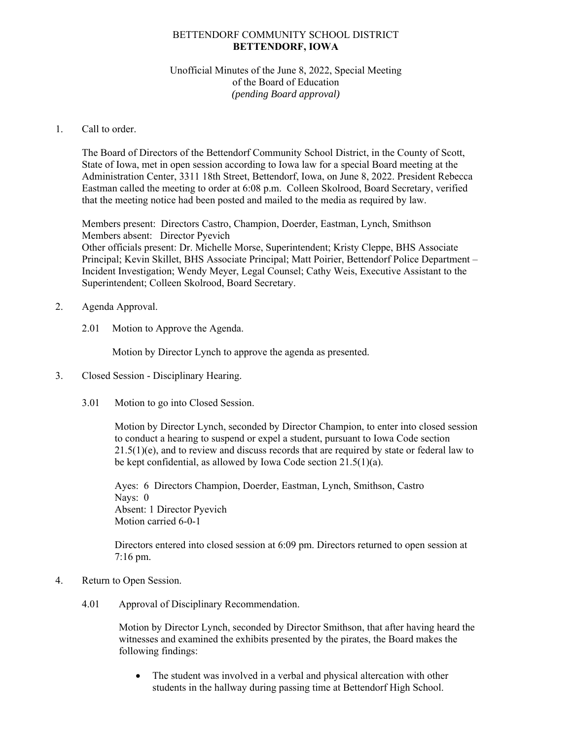## BETTENDORF COMMUNITY SCHOOL DISTRICT **BETTENDORF, IOWA**

## Unofficial Minutes of the June 8, 2022, Special Meeting of the Board of Education *(pending Board approval)*

## 1. Call to order.

The Board of Directors of the Bettendorf Community School District, in the County of Scott, State of Iowa, met in open session according to Iowa law for a special Board meeting at the Administration Center, 3311 18th Street, Bettendorf, Iowa, on June 8, 2022. President Rebecca Eastman called the meeting to order at 6:08 p.m. Colleen Skolrood, Board Secretary, verified that the meeting notice had been posted and mailed to the media as required by law.

Members present: Directors Castro, Champion, Doerder, Eastman, Lynch, Smithson Members absent: Director Pyevich Other officials present: Dr. Michelle Morse, Superintendent; Kristy Cleppe, BHS Associate Principal; Kevin Skillet, BHS Associate Principal; Matt Poirier, Bettendorf Police Department – Incident Investigation; Wendy Meyer, Legal Counsel; Cathy Weis, Executive Assistant to the Superintendent; Colleen Skolrood, Board Secretary.

- 2. Agenda Approval.
	- 2.01 Motion to Approve the Agenda.

Motion by Director Lynch to approve the agenda as presented.

- 3. Closed Session Disciplinary Hearing.
	- 3.01 Motion to go into Closed Session.

Motion by Director Lynch, seconded by Director Champion, to enter into closed session to conduct a hearing to suspend or expel a student, pursuant to Iowa Code section 21.5(1)(e), and to review and discuss records that are required by state or federal law to be kept confidential, as allowed by Iowa Code section 21.5(1)(a).

Ayes: 6 Directors Champion, Doerder, Eastman, Lynch, Smithson, Castro Nays: 0 Absent: 1 Director Pyevich Motion carried 6-0-1

Directors entered into closed session at 6:09 pm. Directors returned to open session at 7:16 pm.

- 4. Return to Open Session.
	- 4.01 Approval of Disciplinary Recommendation.

Motion by Director Lynch, seconded by Director Smithson, that after having heard the witnesses and examined the exhibits presented by the pirates, the Board makes the following findings:

 The student was involved in a verbal and physical altercation with other students in the hallway during passing time at Bettendorf High School.